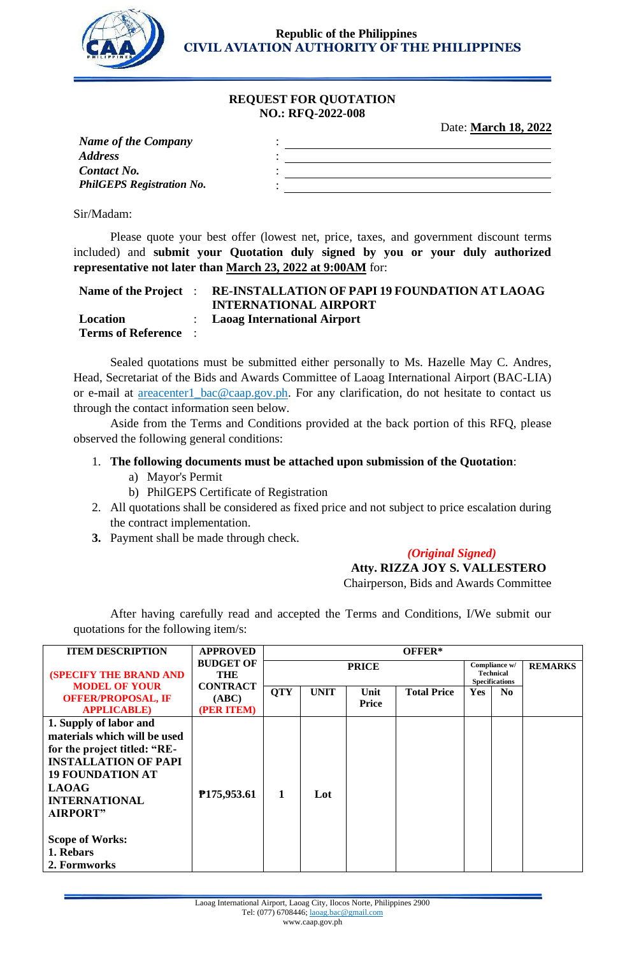

**Republic of the Philippines CIVIL AVIATION AUTHORITY OF THE PHILIPPINES**

#### **REQUEST FOR QUOTATION NO.: RFQ-2022-008**

Date: **March 18, 2022**

| <b>Name of the Company</b>       |  |
|----------------------------------|--|
| <b>Address</b>                   |  |
| <b>Contact No.</b>               |  |
| <b>PhilGEPS Registration No.</b> |  |
|                                  |  |

Sir/Madam:

Please quote your best offer (lowest net, price, taxes, and government discount terms included) and **submit your Quotation duly signed by you or your duly authorized representative not later than March 23, 2022 at 9:00AM** for:

| Name of the Project :       | <b>RE-INSTALLATION OF PAPI 19 FOUNDATION AT LAOAG</b><br><b>INTERNATIONAL AIRPORT</b> |
|-----------------------------|---------------------------------------------------------------------------------------|
| Location                    | : Laoag International Airport                                                         |
| <b>Terms of Reference</b> : |                                                                                       |

Sealed quotations must be submitted either personally to Ms. Hazelle May C. Andres, Head, Secretariat of the Bids and Awards Committee of Laoag International Airport (BAC-LIA) or e-mail at **areacenter1\_bac@caap.gov.ph**. For any clarification, do not hesitate to contact us through the contact information seen below.

Aside from the Terms and Conditions provided at the back portion of this RFQ, please observed the following general conditions:

### 1. **The following documents must be attached upon submission of the Quotation**:

- a) Mayor's Permit
- b) PhilGEPS Certificate of Registration
- 2. All quotations shall be considered as fixed price and not subject to price escalation during the contract implementation.
- **3.** Payment shall be made through check.

# *(Original Signed)*

 **Atty. RIZZA JOY S. VALLESTERO**

Chairperson, Bids and Awards Committee

After having carefully read and accepted the Terms and Conditions, I/We submit our quotations for the following item/s:

| <b>ITEM DESCRIPTION</b>                                                                                                                                                                                                                                            | <b>APPROVED</b>                        | OFFER*       |             |               |                                                            |            |                |  |
|--------------------------------------------------------------------------------------------------------------------------------------------------------------------------------------------------------------------------------------------------------------------|----------------------------------------|--------------|-------------|---------------|------------------------------------------------------------|------------|----------------|--|
| <b>(SPECIFY THE BRAND AND</b>                                                                                                                                                                                                                                      | <b>BUDGET OF</b><br>THE                | <b>PRICE</b> |             |               | Compliance w/<br><b>Technical</b><br><b>Specifications</b> |            | <b>REMARKS</b> |  |
| <b>MODEL OF YOUR</b><br><b>OFFER/PROPOSAL, IF</b><br><b>APPLICABLE</b> )                                                                                                                                                                                           | <b>CONTRACT</b><br>(ABC)<br>(PER ITEM) | <b>QTY</b>   | <b>UNIT</b> | Unit<br>Price | <b>Total Price</b>                                         | <b>Yes</b> | N <sub>0</sub> |  |
| 1. Supply of labor and<br>materials which will be used<br>for the project titled: "RE-<br><b>INSTALLATION OF PAPI</b><br><b>19 FOUNDATION AT</b><br><b>LAOAG</b><br><b>INTERNATIONAL</b><br><b>AIRPORT"</b><br><b>Scope of Works:</b><br>1. Rebars<br>2. Formworks | P175,953.61                            | 1            | Lot         |               |                                                            |            |                |  |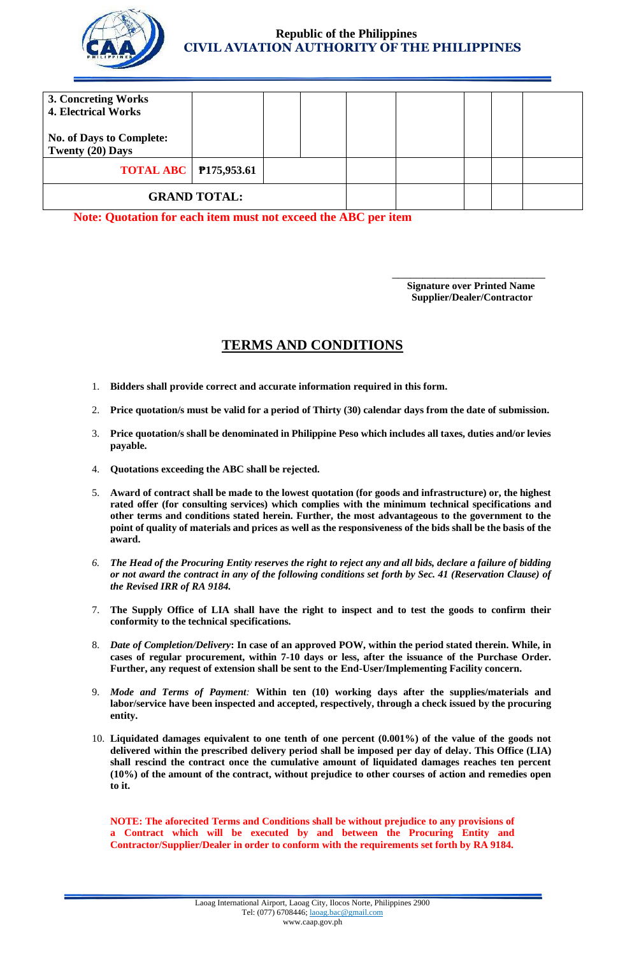

## **Republic of the Philippines CIVIL AVIATION AUTHORITY OF THE PHILIPPINES**

| 3. Concreting Works                   |  |  |  |  |  |  |
|---------------------------------------|--|--|--|--|--|--|
| <b>4. Electrical Works</b>            |  |  |  |  |  |  |
|                                       |  |  |  |  |  |  |
| <b>No. of Days to Complete:</b>       |  |  |  |  |  |  |
| Twenty (20) Days                      |  |  |  |  |  |  |
| <b>TOTAL ABC</b>   <b>P175,953.61</b> |  |  |  |  |  |  |
|                                       |  |  |  |  |  |  |
| <b>GRAND TOTAL:</b>                   |  |  |  |  |  |  |
|                                       |  |  |  |  |  |  |

**Note: Quotation for each item must not exceed the ABC per item**

 $\overline{\phantom{a}}$  , and the contract of the contract of the contract of the contract of the contract of the contract of the contract of the contract of the contract of the contract of the contract of the contract of the contrac **Signature over Printed Name Supplier/Dealer/Contractor**

# **TERMS AND CONDITIONS**

- 1. **Bidders shall provide correct and accurate information required in this form.**
- 2. **Price quotation/s must be valid for a period of Thirty (30) calendar days from the date of submission.**
- 3. **Price quotation/s shall be denominated in Philippine Peso which includes all taxes, duties and/or levies payable.**
- 4. **Quotations exceeding the ABC shall be rejected.**
- 5. **Award of contract shall be made to the lowest quotation (for goods and infrastructure) or, the highest rated offer (for consulting services) which complies with the minimum technical specifications and other terms and conditions stated herein. Further, the most advantageous to the government to the point of quality of materials and prices as well as the responsiveness of the bids shall be the basis of the award.**
- *6. The Head of the Procuring Entity reserves the right to reject any and all bids, declare a failure of bidding or not award the contract in any of the following conditions set forth by Sec. 41 (Reservation Clause) of the Revised IRR of RA 9184.*
- 7. **The Supply Office of LIA shall have the right to inspect and to test the goods to confirm their conformity to the technical specifications.**
- 8. *Date of Completion/Delivery***: In case of an approved POW, within the period stated therein. While, in cases of regular procurement, within 7-10 days or less, after the issuance of the Purchase Order. Further, any request of extension shall be sent to the End-User/Implementing Facility concern.**
- 9. *Mode and Terms of Payment:* **Within ten (10) working days after the supplies/materials and labor/service have been inspected and accepted, respectively, through a check issued by the procuring entity.**
- 10. **Liquidated damages equivalent to one tenth of one percent (0.001%) of the value of the goods not delivered within the prescribed delivery period shall be imposed per day of delay. This Office (LIA) shall rescind the contract once the cumulative amount of liquidated damages reaches ten percent (10%) of the amount of the contract, without prejudice to other courses of action and remedies open to it.**

**NOTE: The aforecited Terms and Conditions shall be without prejudice to any provisions of a Contract which will be executed by and between the Procuring Entity and Contractor/Supplier/Dealer in order to conform with the requirements set forth by RA 9184.**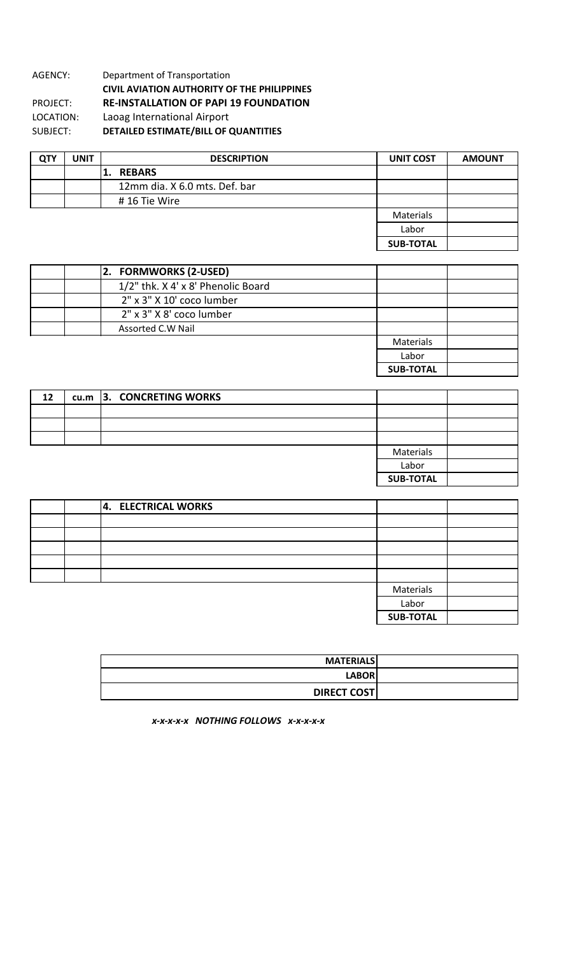#### AGENCY: Department of Transportation **CIVIL AVIATION AUTHORITY OF THE PHILIPPINES RE-INSTALLATION OF PAPI 19 FOUNDATION** Laoag International Airport SUBJECT: **DETAILED ESTIMATE/BILL OF QUANTITIES** PROJECT: LOCATION:

| <b>QTY</b> | <b>UNIT</b> | <b>DESCRIPTION</b>            | <b>UNIT COST</b> | <b>AMOUNT</b> |
|------------|-------------|-------------------------------|------------------|---------------|
|            |             | <b>REBARS</b>                 |                  |               |
|            |             | 12mm dia. X 6.0 mts. Def. bar |                  |               |
|            |             | #16 Tie Wire                  |                  |               |
|            |             |                               | Materials        |               |
|            |             |                               | Labor            |               |
|            |             |                               | <b>SUB-TOTAL</b> |               |

| 2. FORMWORKS (2-USED)              |                  |
|------------------------------------|------------------|
| 1/2" thk. X 4' x 8' Phenolic Board |                  |
| 2" x 3" X 10' coco lumber          |                  |
| 2" x 3" X 8' coco lumber           |                  |
| Assorted C.W Nail                  |                  |
|                                    | Materials        |
|                                    | Labor            |
|                                    | <b>SUB-TOTAL</b> |

 $\overline{\phantom{a}}$ 

| 12 | cu.m 3. CONCRETING WORKS |                  |  |
|----|--------------------------|------------------|--|
|    |                          |                  |  |
|    |                          |                  |  |
|    |                          |                  |  |
|    |                          | Materials        |  |
|    |                          | Labor            |  |
|    |                          | <b>SUB-TOTAL</b> |  |

|  | 4. ELECTRICAL WORKS |                  |  |
|--|---------------------|------------------|--|
|  |                     |                  |  |
|  |                     |                  |  |
|  |                     |                  |  |
|  |                     |                  |  |
|  |                     |                  |  |
|  |                     | Materials        |  |
|  |                     | Labor            |  |
|  |                     | <b>SUB-TOTAL</b> |  |

| <b>MATERIALS</b>   |
|--------------------|
| <b>LABOR</b>       |
| <b>DIRECT COST</b> |

*x-x-x-x-x NOTHING FOLLOWS x-x-x-x-x*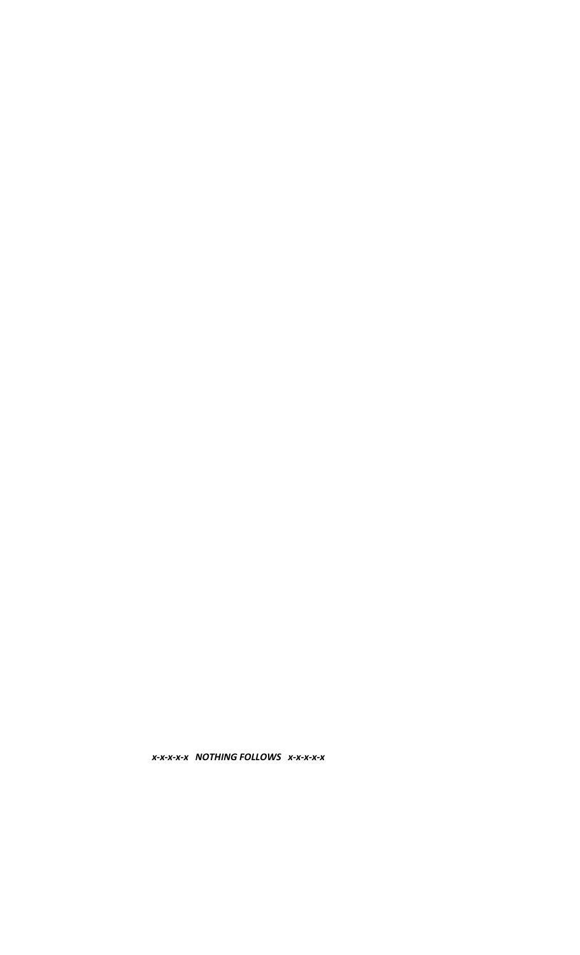X-X-X-X-X NOTHING FOLLOWS X-X-X-X-X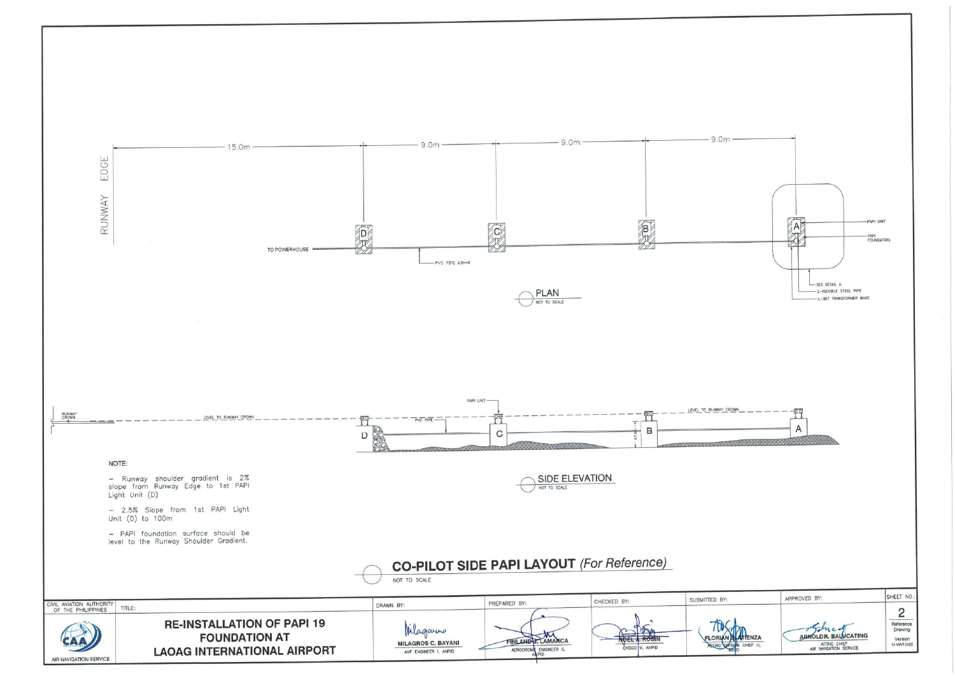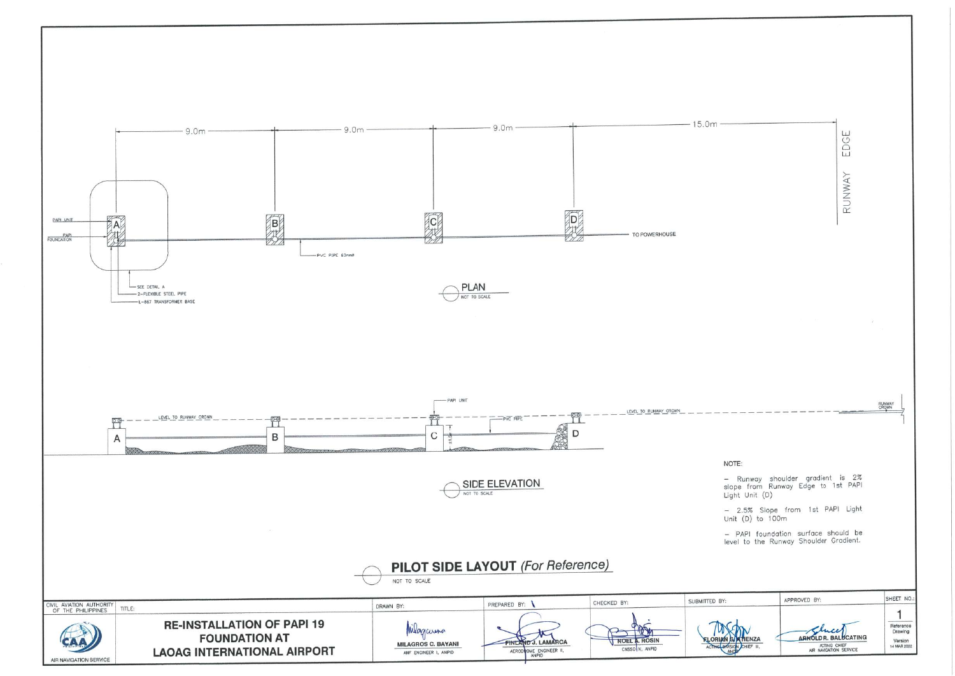

AIR NAVIGATION SERVICE

|                    |                                                                              | RUNWAY EDGE    |                                                |
|--------------------|------------------------------------------------------------------------------|----------------|------------------------------------------------|
|                    |                                                                              |                |                                                |
|                    |                                                                              |                |                                                |
|                    |                                                                              |                |                                                |
|                    |                                                                              |                |                                                |
|                    |                                                                              |                | RUNWAY<br>CROWN                                |
|                    |                                                                              |                |                                                |
|                    |                                                                              |                |                                                |
| <b>NOTE:</b>       |                                                                              |                |                                                |
| ight Unit (D)      | - Runway shoulder gradient is 2%<br>slope from Runway Edge to 1st PAPI       |                |                                                |
| Jnit (D) to 100m   | - 2.5% Slope from 1st PAPI Light                                             |                |                                                |
|                    | - PAPI foundation surface should be<br>evel to the Runway Shoulder Gradient. |                |                                                |
|                    |                                                                              |                |                                                |
|                    |                                                                              |                |                                                |
|                    | APPROVED BY:                                                                 |                | SHEET NO.:                                     |
| ENZA<br>CHIEF III, | <b>ARNOLDR. BAL</b><br>ACTING CHIEF<br>AIR NAVIGATION SERVICE                | <b>UCATING</b> | Reference<br>Drawing<br>Version<br>14 MAR 2022 |